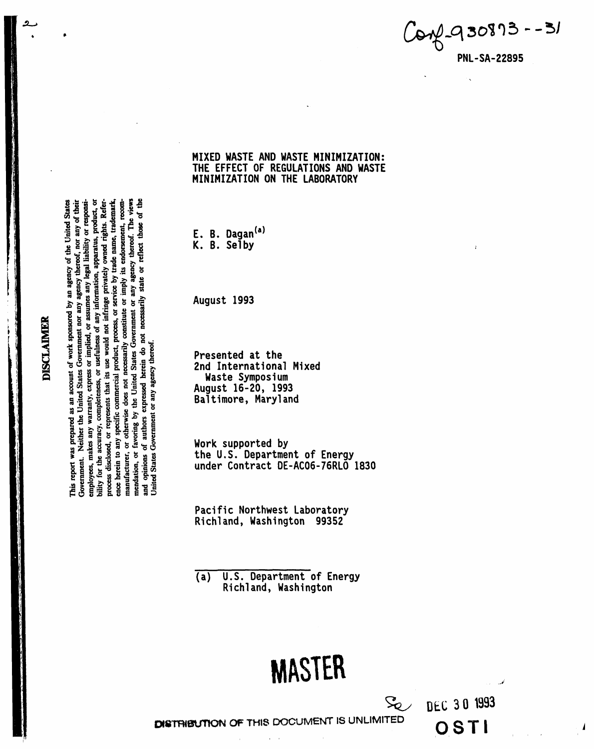$16 - 5180893$ **PNL-SA-22895** 

MIXED WASTE AND WASTE MINIMIZATION: THE EFFECT OF REGULATIONS AND WASTE MINIMIZATION ON THE LABORATORY

E. B. Dagan<sup>(a)</sup><br>K. B. Selby

August 1993

Presented at the 2nd International Mixed Waste Symposium August 16-20, 1993 Baltimore, Maryland

Work supported by the U.S. Department of Energy under Contract DE-AC06-76RLO 1830

Pacific Northwest Laboratory Richland, Washington 99352

**U.S. Department of Energy**  $\overline{(a)}$ Richland, Washington

# **MASTER**

 $S_{\!\!\mathcal{C}}$ 

DEC 30 1993

OSTI

DISTRIBUTION OF THIS DOCUMENT IS UNLIMITED

**DISCLAIMER** 

 $\bullet$ 

of the This report was prepared as an account of work sponsored by an agency of the United States Government. Neither the United States Government nor any agency thereof, nor any of their employees, makes any warranty, express or implied, or assumes any legal liability or responsibility for the accuracy, completeness, or usclulness of any information, apparatus, product, or process disclosed, or represents that its use would not infringe privately owned rights. Reference herein to any specific commercial product, process, or service by trade name, trademark, manufacturer, or otherwise does not necessarily constitute or imply its endorsement, recommendation, or favoring by the United States Government or any agency thereof. The views necessarily state or reflect those and opinions of authors expressed herein do not Jnited States Government or any agency thereof.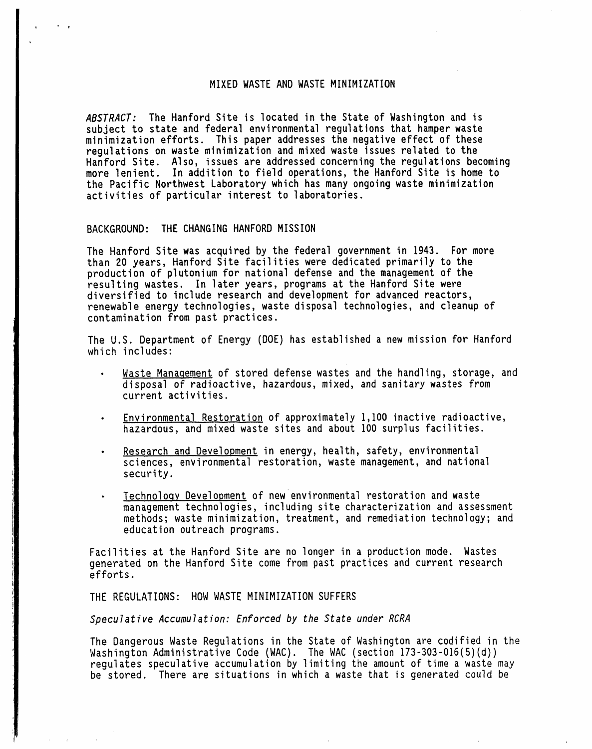# MIXED WASTE AND WASTE MINIMIZATION

ABSTRACT: The Hanford Site is located in the State of Washington and is subject to state and federal environmental regulations that hamper waste minimization efforts. This paper addresses the negative effect of these requlations on waste minimization and mixed waste issues related to the Hanford Site. Also, issues are addressed concerning the regulations becoming more lenient. In addition to field operations, the Hanford Site is home to the Pacific Northwest Laboratory which has many ongoing waste minimization activities of particular interest to laboratories.

## BACKGROUND: THE CHANGING HANFORD MISSION

The Hanford Site was acquired by the federal government in 1943. For more than 20 years, Hanford Site facilities were dedicated primarily to the production of plutonium for national defense and the management of the resulting wastes. In later years, programs at the Hanford Site were<br>diversified to include research and development for advanced reactors, renewable energy technologies, waste disposal technologies, and cleanup of contamination from past practices.

The U.S. Department of Energy (DOE) has established a new mission for Hanford which includes:

- Waste Management of stored defense wastes and the handling, storage, and disposal of radioactive, hazardous, mixed, and sanitary wastes from current activities.
- Environmental Restoration of approximately 1,100 inactive radioactive, hazardous, and mixed waste sites and about 100 surplus facilities.
- Research and Development in energy, health, safety, environmental sciences, environmental restoration, waste management, and national security.
- Technology Development of new environmental restoration and waste management technologies, including site characterization and assessment methods; waste minimization, treatment, and remediation technology; and education outreach programs.

Facilities at the Hanford Site are no longer in a production mode. Wastes generated on the Hanford Site come from past practices and current research efforts.

THE REGULATIONS: HOW WASTE MINIMIZATION SUFFERS

Speculative Accumulation: Enforced by the State under RCRA

The Dangerous Waste Regulations in the State of Washington are codified in the Washington Administrative Code (WAC). The WAC (section 173-303-016(5)(d)) requiates speculative accumulation by limiting the amount of time a waste may be stored. There are situations in which a waste that is generated could be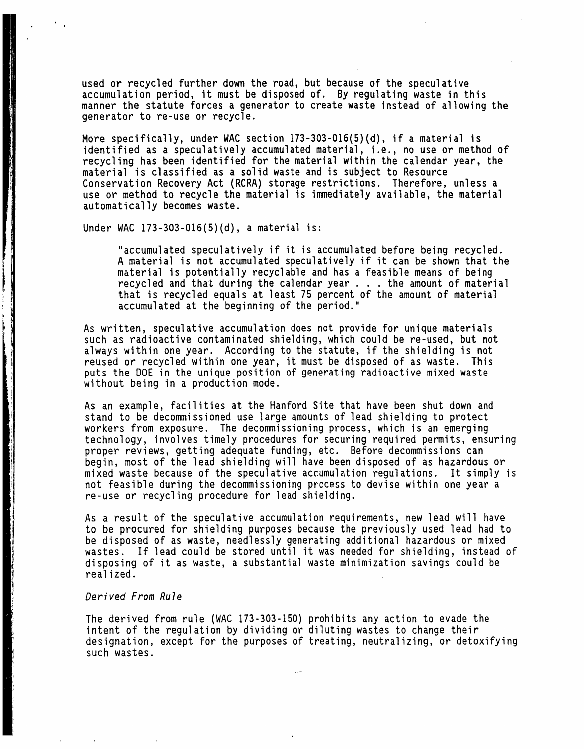used or recycled further down the road, but because of the speculative accumulation period, it must be disposed of. By regulating waste in this manner the statute forces a generator to create waste instead of allowing the generator to re-use or recycle.

More specifically, under WAC section 173-303-016(5)(d), if a material is identified as a speculatively accumulated material, i.e., no use or method of recycling has been identified for the material within the calendar year, the material is classified as a solid waste and is subject to Resource Conservation Recovery Act (RCRA) storage restrictions. Therefore, unless a use or method to recycle the material is immediately available, the material automatically becomes waste.

Under WAC  $173-303-016(5)(d)$ , a material is:

• Q

"accumulated speculatively if it is accumulated before being recycled. A material is not accumulated speculatively if it can be shown that the material is potentially recyclable and has a feasible means of being recycled and that during the calendar year  $\ldots$  the amount of material that is recycled equals at least 75 percent of the amount of material accumulated at the beginning of the period."

As written, speculative accumulation does not provide for unique materials such as radioactive contaminated shielding, which could be re-used, but not always within one year. According to the statute, if the shielding is not reused or recycled within one year, it must be disposed of as waste. This puts the DOE in the unique position of generating radioactive mixed waste without being in a production mode.

As an example, facilities at the Hanford Site that have been shut down and stand to be decommissioned use large amounts of lead shielding to protect workers from exposure. The decommissioning process, which is an emerging technology, involves timely procedures for securing required permits, ensuring proper reviews, getting adequate funding, etc. Before decommissions can begin, most of the lead shielding will have been disposed of as hazardous or mixed waste because of the speculative accumulation regulations. It simply is not feasible during the decommissioning process to devise within one year a re-use or recycling procedure for lead shielding.

As a result of the speculative accumulation requirements, new lead will have to be procured for shielding purposes because the previously used lead had to be disposed of as waste, needlessly generating additional hazardous or mixed wastes. If lead could be stored until it was needed for shielding, instead of disposing of it as waste, a substantial waste minimization savings could be realized.

# Derived From Rule

The derived from rule (WAC 173-303-150) prohibits any action to evade the intent of the regulation by dividing or diluting wastes to change their designation, except for the purposes of treating, neutralizing, or detoxifying such wastes.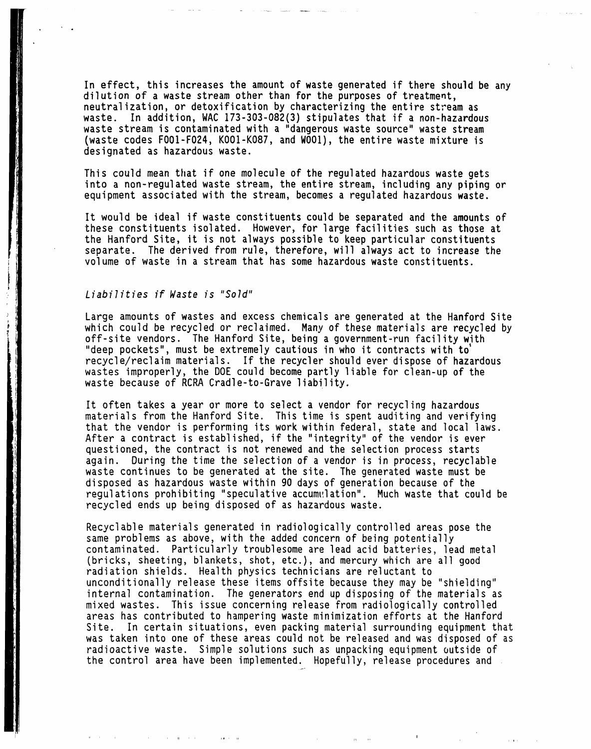In effect, this increases the amount of waste generated if there should be any dilution of a waste stream other than for the purposes of treatment, neutralization, or detoxification by characterizing the entire stream as waste. In addition, WAC 173-303-082(3) stipulates that if a non-hazardous waste stream is contaminated with a "dangerous waste source" waste stream (waste codes F001-F024, K001-K087, and W001), the entire waste mixture is designated as hazardous waste.

This could mean that if one molecule of the regulated hazardous waste gets into a non-regulated waste stream, the entire stream, including any piping or equipment associated with the stream, becomes a regulated hazardous waste.

It would be ideal if waste constituents could be separated and the amounts of these constituents isolated. However, for large facilities such as those at the Hanford Site, it is not always possible to keep particular constituents separate. The derived from rule, therefore, will always act to increase the volume of waste in a stream that has some hazardous waste constituents.

# Liabilities if Waste is "Sold"

Large amounts of wastes and excess chemicals are generated at the Hanford Site which could be recycled or reclaimed. Many of these materials are recycled by off-site vendors. The Hanford Site, being a government-run facility with "deep pockets", must be extremely cautious in who it contracts with to' recycle/reclaim materials. If the recycler should ever dispose of hazardous wastes improperly, the DOE could become partly liable for clean-up of the waste because of RCRA Cradle-to-Grave liability.

It often takes a year or more to select a vendor for recycling hazardous materials from the Hanford Site. This time is spent auditing and verifying that the vendor is performing its work within federal, state and local laws. After a contract is established, if the "integrity" of the vendor is ever questioned, the contract is not renewed and the selection process starts again. During the time the selection of a vendor is in process, recyclable waste continues to be generated at the site. The generated waste must be disposed as hazardous waste within 90 days of generation because of the regulations prohibiting "speculative accumulation". Much waste that could be recycled ends up being disposed of as hazardous waste.

Recyclable materials generated in radiologically controlled areas pose the same problems as above, with the added concern of being potentially contaminated. Particularly troublesome are lead acid batteries, lead metal (bricks, sheeting, blankets, shot, etc.), and mercury which are all good radiation shields. Health physics technicians are reluctant to unconditionally release these items offsite because they may be "shielding" internal contamination. The generators end up disposing of the materials as mixed wastes. This issue concerning release from radiologically controlled areas has contributed to hampering waste minimization efforts at the Hanford Site. In certain situations, even packing material surrounding equipment that was taken into one of these areas could not be released and was disposed of as radioactive waste. Simple solutions such as unpacking equipment outside of the control area have been implemented. Hopefully, release procedures and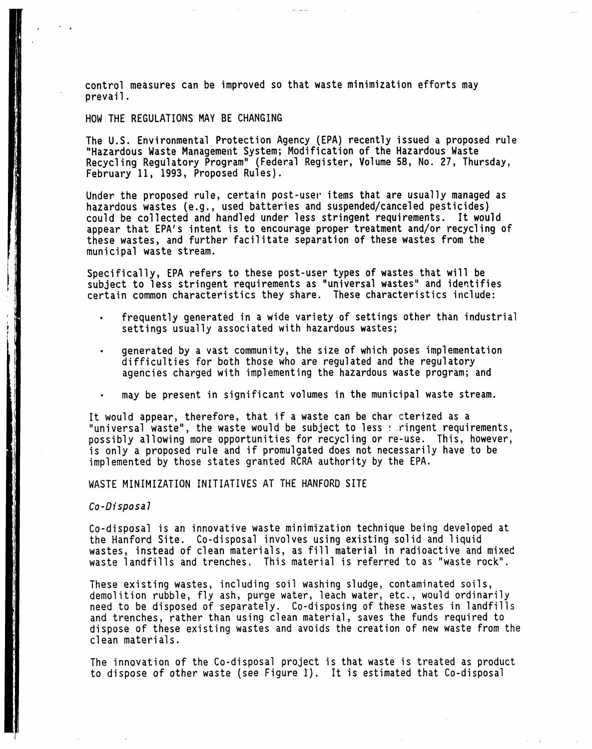control measures can be improved so that waste minimization efforts may prevail.

#### HOW THE REGULATIONS MAY BE CHANGING

The U.S. Environmental Protection Agency (EPA) recently issued a proposed rule "Hazardous Waste Management System; Modification of the Hazardous Waste Recycling Regulatory Program" (Federal Register, Volume 58, No. 27, Thursday, February 11, 1993, Proposed Rules).

Under the proposed rule, certain post-user items that are usually managed as hazardous wastes (e.g., used batteries and suspended/canceled pesticides) could be collected and handled under less stringent requirements. It would appear that EPA's intent is to encourage proper treatment and/or recycling of these wastes, and further facilitate separation of these wastes from the municipal waste stream.

Specifically, EPA refers to these post-user types of wastes that will be subject to less stringent requirements as "universal wastes" and identifies certain common characteristics they share. These characteristics include:

- frequently generated in a wide variety of settings other than industrial settings usually associated with hazardous wastes;
- generated by a vast community, the size of which poses implementation difficulties for both those who are regulatedand the regulatory agencies charged with implementing the hazardous waste program; and
- may be present in significant volumes in the municipal waste stream.

It would appear, therefore, that if a waste can be char cterized as a "universal waste", the waste would be subject to less suringent requirements, possibly allowing more opportunities for recycling or re-use. This, however, is only a proposed rule and if promulgated does not necessarily have to be implemented by those states granted RCRA authority by the EPA.

WASTE MINIMIZATION INITIATIVES AT THE HANFORD SITE

Co-Disposal

Co-disposal is an innovative waste minimization technique being developed at the Hanford Site. Co-disposal involves using existing solid and liquid wastes, instead of clean materials, as fill material in radioactive and mixed waste landfills and trenches. This material is referred to as "waste rock".

These existing wastes, including soil washing sludge, contaminated soils, demolition rubble, fly ash, purge water, leach water, etc., would ordinarily need to be disposed of separately. Co-disposing of these wastes in landfills and trenches, rather than using clean material, saves the funds required to dispose of these existing wastes and avoids the creation of new waste from the clean materials.

The innovation of the Co-disposal project is that waste is treated as product to dispose of other waste (see Figure I). It is estimated that Co-disposal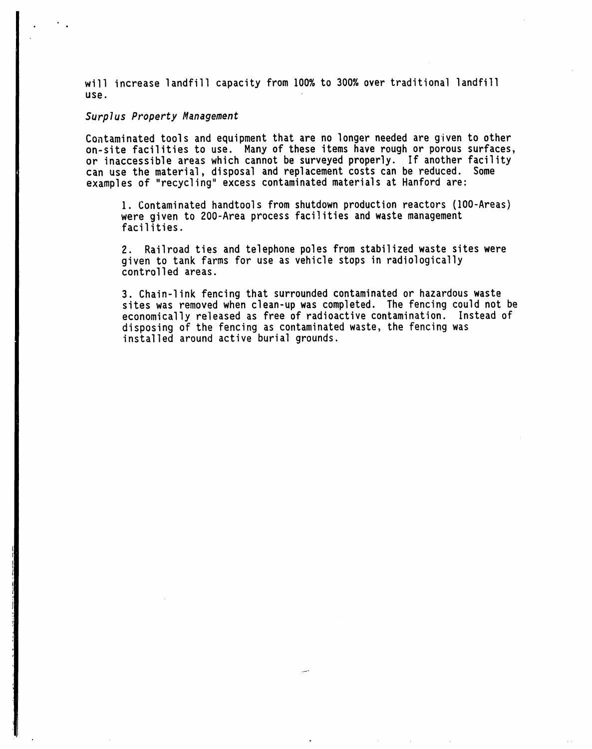will increase landfill capacity from 100% to 300% over traditional landfill us**e**.

#### Surplus Property M**a**nagem**e**nt

Contaminated tools and equipment that are no longer needed are given to other on-site facilities to use. Many of these items have rough or porous surfaces, or inaccessible areas which cannot be surveyed properly. If another facility can use the material, disposal and replacement costs can be reduced. Some examples of "recycling" excess contaminated materials at Hanford are:

1. Contaminated handtools from shutdown production reactors (100-Areas) were given to 200-Area process facilities and waste management facilities.

2. Railroad ties and telephone poles from stabilized waste sites were given to tank farms for use as vehicle stops in radiologically controlled areas.

3. Chain-link fencing that surrounded contaminated or hazardous waste sites was removed when clean-up was completed. The fencing could not be economically released as free of radioactive contamination. Instead of disposing of the fencing as contaminated waste, the fencing was installed around active burial grounds.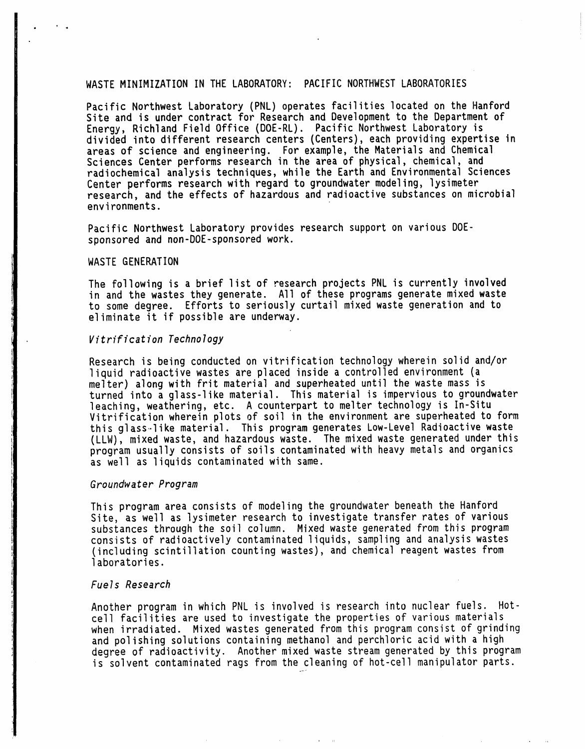#### WASTE MINIMIZATION IN THE LABORATORY: PACIFIC NORTHWEST LABORATORIES

Pacific Northwest Laboratory (PNL) operates facilities located on the Hanford Site and is under contract for Research and Development to the Department of Energy, Richland Field Office (DOE-RL). Pacific Northwest Laboratory is divided into different research centers (Centers), each providing expertise in areas of science and engineering. For example, the Materials and Chemical Sciences Center performs research in the area of physical, chemical, and radiochemical analysis techniques, while the Earth and Environmental Sciences Center performs research with regard to groundwater modeling, lysimeter research, and the effects of hazardous and radioactive substances on microbial environments.

Pacific Northwest Laboratory provides research support on various DOEsponsored and non-DOE-sponsored work.

#### WASTE GENERATION

The following is a brief list of research projects PNL is currently involved in and the wastes they generate. All of these programs generate mixed waste to some degree. Efforts to seriously curtail mixed waste generation and to eliminate it if possibleare underway.

#### Vitrification Technology

Research is being conducted on vitrification technology wherein solid and/or liquid radioactive wastes are placed inside a controlled environment (a melter) along with frit material and superheated until the waste mass is turned into a glass-like material. This material is impervious to groundwater leaching, weathering, etc. A counterpart to melter technology is In-Situ Vitrification wherein plots of soil in the environment are superheated to form this glass-like material. This program generates Low-Level Radioactive waste (LLW), mixed waste, and hazardous waste. The mixed waste generated under this program usually consists of soils contaminated with heavy metals and organics as well as liquids contaminatedwith same.

#### Groundwater Program

This program area consists of modeling the groundwater beneath the Hanford Site, as well as lysimeter research to investigate transfer rates of various substances through the soil column. Mixed waste generated from this program consists of radioactively contaminated liquids, sampling and analysis wastes (including scintillation counting wastes), and chemical reagent wastes from laboratories.

#### Fuels Research

Another program in which PNL is involved is research into nuclear fuels. Hotcell facilities are used to investigate the properties of various materials when irradiated. Mixed wastes generated from this program consist of grinding and polishing solutions containing methanol and perchloric acid with a high degree of radioactivity. Another mixed waste stream generated by this program is solvent contaminated rags from the cleaning of hot-cell manipulator parts.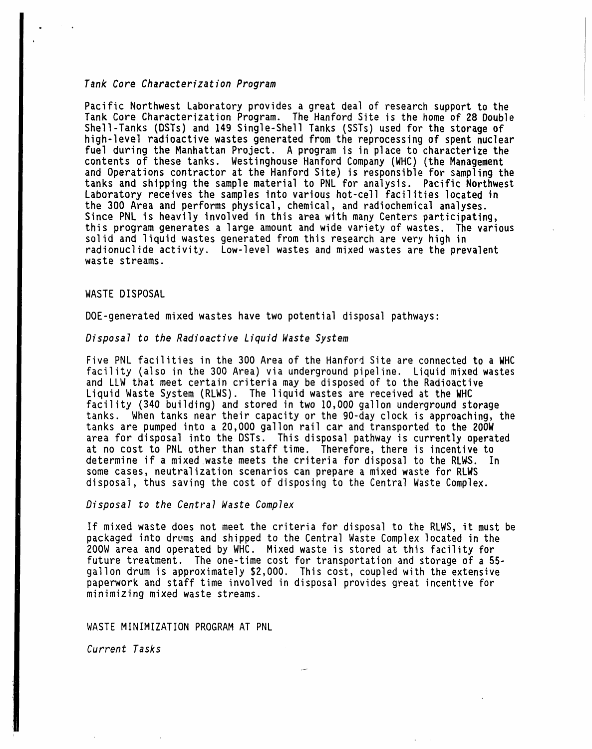# Tank Core Characterization Program

Pacific Northwest Laboratory provides a great deal of research support to the Tank Core Characterization Program. The Hanford Site is the home of 28 Double Shell-Tanks (DSTs) and 149 Single-Shell Tanks (SSTs) used for the storage of high-level radioactive wastes generated from the reprocessing of spent nuclear fuel during the Manhattan Project. A program is in place to characterize the contents of these tanks. Westinghouse Hanford Company (WHC) (the Management and Operations contractor at the Hanford Site) is responsible for sampling the tanks and shipping the sample material to PNL for analysis. Pacific Northwest Laboratory receives the samples into various hot-cell facilities located in the 300 Area and performs physical, chemical, and radiochemical analyses. Since PNL is heavily involvedin this area with many Centers participating, this program generates a large amount and wide variety of wastes. The various solid and liquid wastes generated from this research are very high in radionuclide activity. Low-level wastes and mixed wastes are the prevalent waste streams.

## WASTE DISPOSAL

DOE-generated mixed wastes have two potential disposal pathways:

# Disposal to the Radioactive Liquid Waste System

Five PNL facilities in the 300 Area of the Hanford Site are connected to a WHC facility (also in the 300 Area) via underground pipeline. Liquid mixed wastes and LLW that meet certain criteriamay be disposedof to the Radioactive Liquid Waste System (RLWS). The liquid wastes are received at the WHC facility (340 building) and stored in two 10,000 gallon underground storage tanks. When tanks near their capacity or the 90-day clock is approaching, the tanks are pumped into a 20,000 gallon rail car and transported to the 200W area for disposal into the DSTs. This disposal pathway is currently operated at no cost to PNL other than staff time. Therefore, there is incentive to determine if a mixed waste meets the criteria for disposal to the RLWS. In some cases, neutralization scenarios can prepare a mixed waste for RLWS disposal, thus saving the cost of disposing to the Central Waste Complex.

# Disposal to the Central Waste Complex

If mixed waste does not meet the criteria for disposal to the RLWS, it must be packaged into drums and shipped to the Central Waste Complex located in the 200W area and operated by WHC. Mixed waste is stored at this facility for future treatment. The one-time cost for transportation and storage of a 55gallon drum is approximately\$2,000. This cost, coupledwith the extensive paperwork and staff time involved in disposal provides great incentive for minimizing mixed waste streams.

#### WASTE MINIMIZATION PROGRAM AT PNL

Current Tasks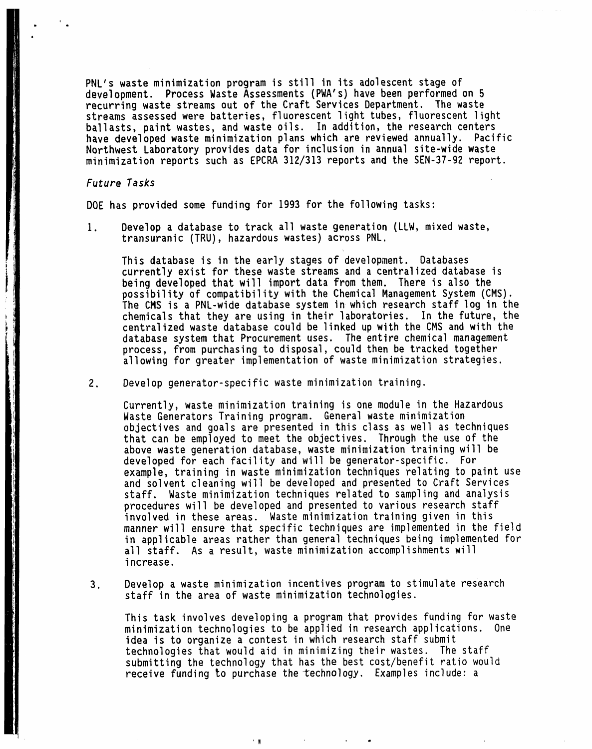PNL's waste minimization program is still in its adolescent stage of development. Process Waste Assessments (PWA's) have been performed on 5 recurring waste streams out of the Craft Services Department. The waste streams assessed were batteries, fluorescent light tubes, fluorescent light ballasts, paint wastes, and waste oils. In addition, the research centers have developed waste minimization plans which are reviewed annually. Pacific Northwest Laboratory provides data for inclusion in annual site-wide waste minimization reports such as EPCRA 312/313 reports and the SEN-37-92 report.

#### Future Tasks

DOE has provided some funding for 1993 for the following tasks:

1. Develop a database to track all waste generation (LLW, mixed waste, transuranic (TRU), hazardous wastes) across PNL.

This database is in the early stages of development. Databases currently exist for these waste streams and a centralized database is being developed that will import data from them. There is also the possibility of compatibility with the Chemical Management System (CMS). The CMS is a PNL-wide database system in which research staff log in the chemicals that they are using in their laboratories. In the future, the centralizedwaste database could be linkedup with the CMS and with the database system that Procurement uses. The entire chemical management process, from purchasing to disposal, could then be tracked together allowing for greater implementation of waste minimization strategies.

2. Develop generator-specific waste minimization training.

Currently, waste minimization training is one module in the Hazardous Waste Generators Training program. General waste minimization objectives and goals are presented in this class as well as techniques that can be employed to meet the objectives. Through the use of the above waste generation database, waste minimization training will be developed for each facility and will be generator-specific. For example, training in waste minimization techniques relating to paint use and solvent cleaning will be developed and presented to Craft Services staff. Waste minimization techniques related to sampling and analysis procedures will be developed and presented to various research staff involved in these areas. Waste minimization training given in this manner will ensure that specific techniques are implemented in the field in applicable areas rather than general techniques being implemented for all staff. As a result, waste minimization accomplishments will increase.

3. Develop a waste minimization incentives program to stimulate research staff in the area of waste minimization technologies.

This task involves developing a program that provides funding for waste minimization technologies to be applied in research applications. One idea is to organize a contest in which research staff submit technologies that would aid in minimizing their wastes. The staff submitting the technology that has the best cost/benefit ratio would receive funding to purchase the technology. Examples include: a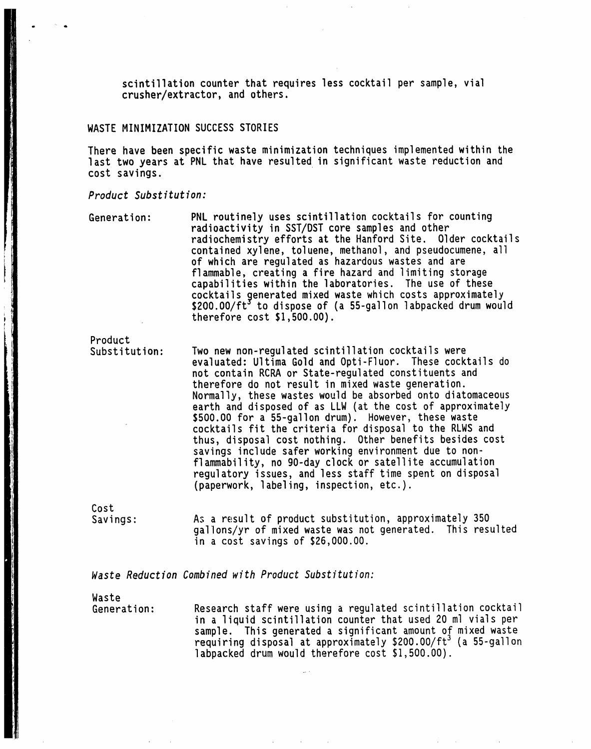**s**cintillationc**o**u**n**t**e**rthat requiresless cocktailper sample,vial crusher/extract**o**r,and **o**th**e**rs.

# WASTE MINIMIZATION SUCCESS STORIES

There have been specific waste minimization techniques implemented within the last two years at PNL that have resulted in significant waste reduction and cost savings.

#### Product Substitution:

Generation: PNL routinely uses scintillation cocktails for counting radioactivity in SST/DST core samples and other radiochemistry efforts at the Hanford Site. Older cocktails contained xylene, toluene, methanol, and pseudocumene, all of which are regulated as hazardous wastes and are flammable, creating a fire hazard and limiting storage capabilities within the laboratories. The use of these cocktails generated mixed waste which costs approximately \$200.OO/ft°to dispose of (a 55-gallon labpacked drum would therefore  $cost$  \$1,500.00).

Product<br>Substitution:

Two new non-regulated scintillation cocktails were evaluated: Ultima Gold and Opti-Fluor. These cocktails do not contain RCRA or State-regulated constituents and therefore do not result in mixed waste generation. Normally, these wastes would be absorbed onto diatomaceous earth and disposed of as LLW (at the cost of approximately \$500.00 for a 55-gallon drum). However, these waste cocktails fit the criteria for disposal to the RLWS and thus, disposal cost nothing. Other benefits besides cost savings include safer working environment due to nonflammability, no 90-day clock or satellite accumulation regulatory issues, and less staff time spent on disposal (paperwork, labeling, inspection, etc.).

Cost

Savings: As a result of product substitution, approximately 350 gallons/yrof mixed waste was not generated. This resulted in a cost savings of  $$26,000.00$ .

Waste Reduction Combined with Product Substitution:

Waste<br>Generation:

Research staff were using a regulated scintillation cocktail in a liquid scintillation counter that used 20 ml vials per sample. This generated a significant amount of mixed waste requiring disposal at approximately \$200.00/ft<sup>3</sup> (a 55-gallon labpacked drum would therefore cost \$1,500.00).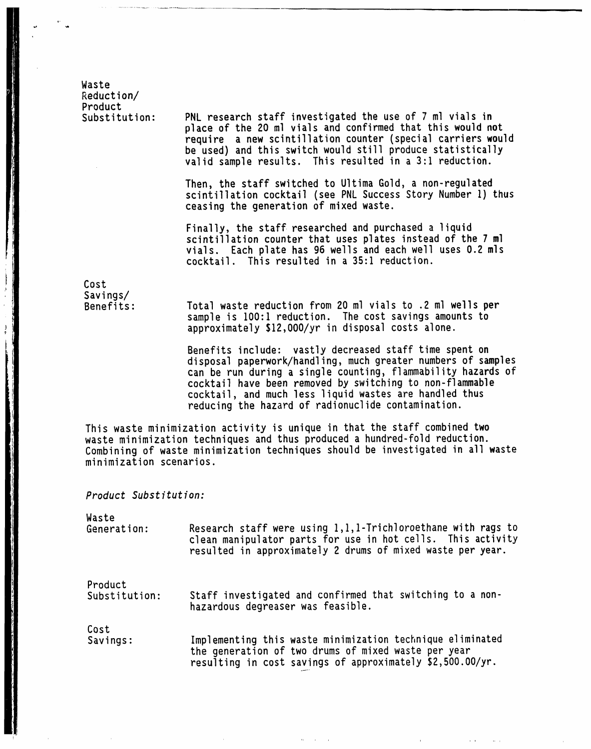Waste Reduction/ Product<br>Substitution:

PNL research staff investigated the use of 7 ml vials in place of the 20 ml vials and confirmedthat this would n**o**t require a new scintillation counter (special carriers would be used) and this switch would still produce statistically valid sample results. This resulted in a 3:1 reduction.

Then, the staff switched to Ultima Gold, a non-regulated scintillation cocktail (see PNL Success Story Number 1) thus ceasing the generation of mixed waste.

Finally, the staff researched and purchased a liquid scintillation counter that uses plates instead of the 7 ml vials. Each plate has 96 wells and each well uses 0.2 mls cocktail. This resulted in a 35:1 reduction.

Cost Savings/

Total waste reduction from 20 ml vials to .2 ml wells per sample is 100:1 reduction. The cost savings amounts to approximately \$12,000/yr in disposal costs alone.

Benefits include: vastly decreased staff time spent on disposal paperwork/handling, much greater numbers of samples can be run during a single counting, flammability hazards of cocktail have been removed by switching to non-flammable cocktail, and much less liquid wastes are handled thus reducing the hazard of radionuclide contamination.

This waste minimization activity is unique in that the staff combined two waste minimization techniques and thus produced a hundred-fold reduction. Combining of waste minimization techniques should be investigated in all waste minimization scenarios.

Product Substitution:

Waste

Generation: Research staff were using  $1,1,1$ -Trichloroethane with rags to clean manipulator parts for use in hot cells. This activity resulted in approximately 2 drums of mixed waste per year.

Product<br>Substitution:

Staff investigated and confirmed that switching to a nonhazardous degreaser was feasible.

Cost<br>Savings: Implementing this waste minimization technique eliminated the generation of two drums of mixed waste per year resulting in cost savings of approximately \$2,500.00/yr.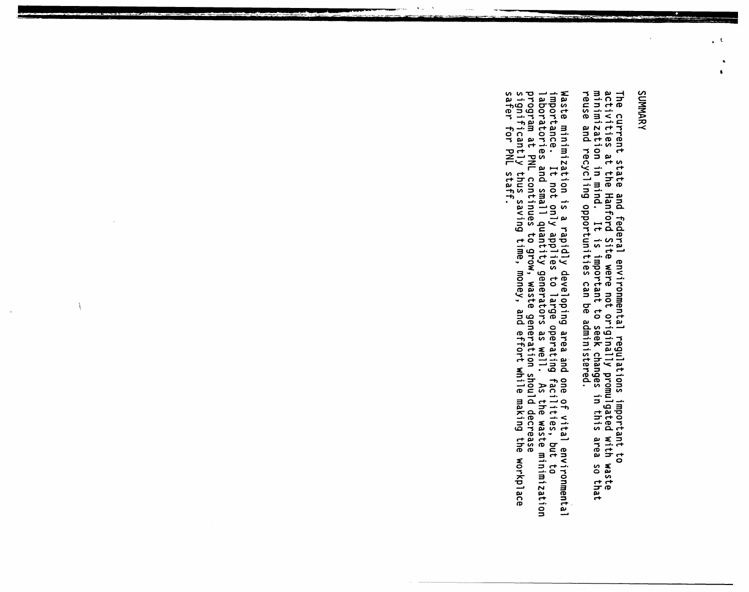# SUMMARY

 $\Box$  C

The current state and federal environmental regulations important to<br>activities at the Hanford Site were not originally promulgated with waste<br>minimization in mind. It is important to seek changes in this area so that<br>reus

Waste minimization is a rapidly developing area and one of vital environmental<br>importance. It not only applies to large operating facilities, but to<br>laboratories and small quantity generators as well. As the waste minimiza

À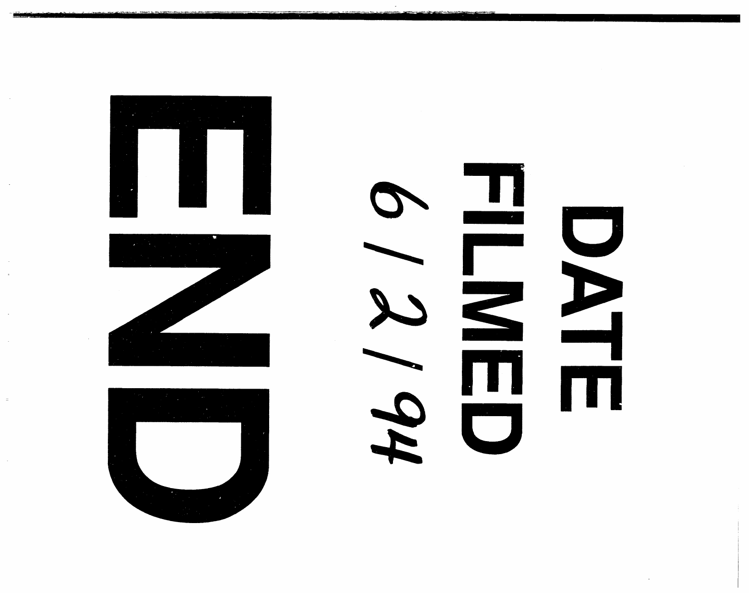